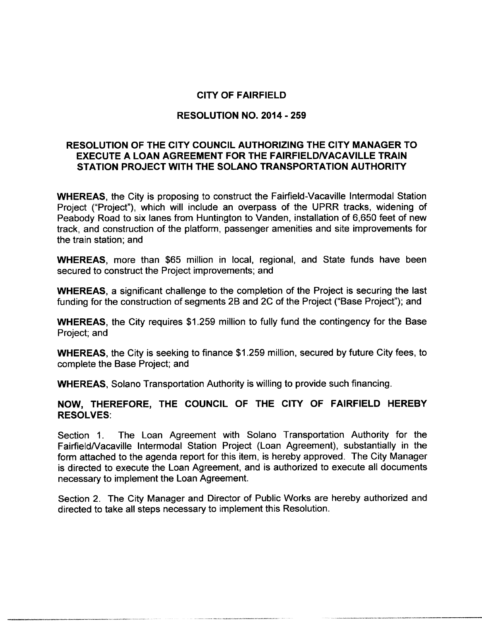# CITY OF FAIRFIELD

# RESOLUTION NO. 2014 - 259

# RESOLUTION OF THE CITY COUNCIL AUTHORIZING THE CITY MANAGER TO EXECUTE A LOAN AGREEMENT FOR THE FAIRFIELDNACAVILLE TRAIN STATION PROJECT WITH THE SOLANO TRANSPORTATION AUTHORITY

WHEREAS, the City is proposing to construct the Fairfield-Vacaville Intermodal Station Project ("Project"), which will include an overpass of the UPRR tracks, widening of Peabody Road to six lanes from Huntington to Vanden, installation of 6,650 feet of new track, and construction of the platform, passenger amenities and site improvements for the train station; and

WHEREAS, more than \$65 million in local, regional, and State funds have been secured to construct the Project improvements; and

WHEREAS, <sup>a</sup> significant challenge to the completion of the Project is securing the last funding for the construction of segments 2B and 2C of the Project ("Base Project"); and

WHEREAS, the City requires \$1.259 million to fully fund the contingency for the Base Project; and

WHEREAS, the City is seeking to finance \$1.259 million, secured by future City fees, to complete the Base Project; and

WHEREAS, Solano Transportation Authority is willing to provide such financing.

# NOW, THEREFORE, THE COUNCIL OF THE CITY OF FAIRFIELD HEREBY RESOLVES:

Section 1. The Loan Agreement with Solano Transportation Authority for the FairfieldNacaville Intermodal Station Project (Loan Agreement), substantially in the form attached to the agenda report for this item, is hereby approved. The City Manager is directed to execute the Loan Agreement, and is authorized to execute all documents necessary to implement the Loan Agreement.

Section 2. The City Manager and Director of Public Works are hereby authorized and directed to take all steps necessary to implement this Resolution.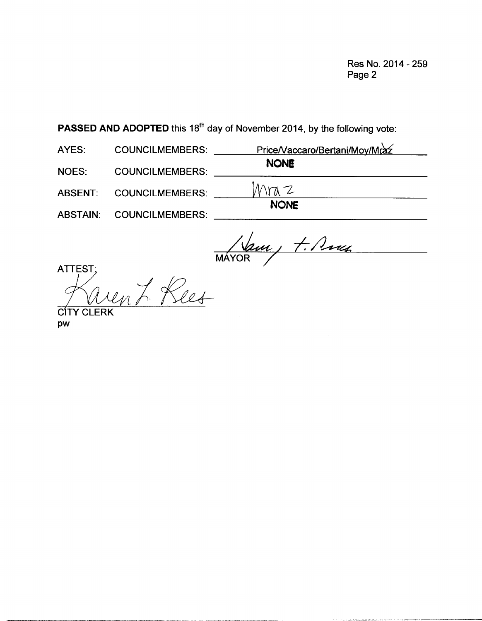Res No. 2014 - 259 Page 2

PASSED AND ADOPTED this 18<sup>th</sup> day of November 2014, by the following vote:

AYES: COUNCILMEMBERS: Price/Vaccaro/Bertani/Moy/Mraz NONE NOES: COUNCILMEMBERS:

ABSENT: COUNCILMEMBERS:  $MraZ$ 

ABSTAIN: COUNCILMEMBERS:

NONE

 $\sqrt{2}u$ MAYOR

TTES<br>F ATTEST Res

**CITY CLERK** Pw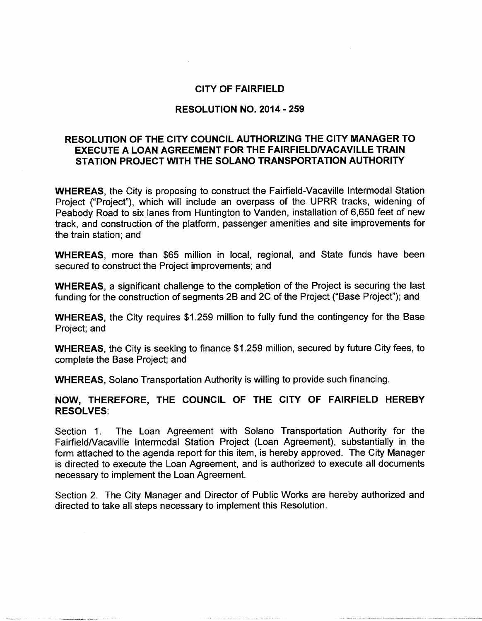## CITY OF FAIRFIELD

### RESOLUTION NO. 2014 - 259

# RESOLUTION OF THE CITY COUNCIL AUTHORIZING THE CITY MANAGER TO EXECUTE A LOAN AGREEMENT FOR THE FAIRFIELDNACAVILLE TRAIN STATION PROJECT WITH THE SOLANO TRANSPORTATION AUTHORITY

WHEREAS, the City is proposing to construct the Fairfield-Vacaville Intermodal Station Project ("Project"), which will include an overpass of the UPRR tracks, widening of Peabody Road to six lanes from Huntington to Vanden, installation of 6,650 feet of new track, and construction of the platform, passenger amenities and site improvements for the train station; and

WHEREAS, more than \$65 million in local, regional, and State funds have been secured to construct the Project improvements; and

WHEREAS, <sup>a</sup> significant challenge to the completion of the Project is securing the last funding for the construction of segments 2B and 2C of the Project ("Base Project"); and

WHEREAS, the City requires \$1.259 million to fully fund the contingency for the Base Project; and

WHEREAS, the City is seeking to finance \$1.259 million, secured by future City fees, to complete the Base Project; and

WHEREAS, Solano Transportation Authority is willing to provide such financing.

## NOW, THEREFORE, THE COUNCIL OF THE CITY OF FAIRFIELD HEREBY RESOLVES:

Section 1. The Loan Agreement with Solano Transportation Authority for the FairfieldNacaville Intermodal Station Project (Loan Agreement), substantially in the form attached to the agenda report for this item, is hereby approved. The City Manager is directed to execute the Loan Agreement, and is authorized to execute all documents necessary to implement the Loan Agreement.

Section 2. The City Manager and Director of Public Works are hereby authorized and directed to take all steps necessary to implement this Resolution.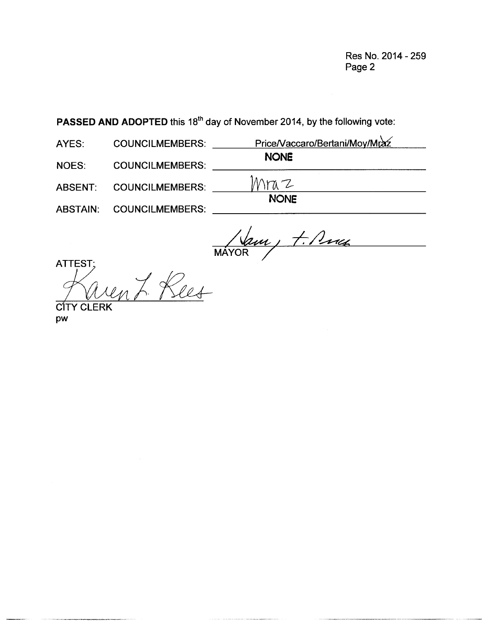Res No. 2014 - 259 Page 2

PASSED AND ADOPTED this 18<sup>th</sup> day of November 2014, by the following vote:

AYES: COUNCILMEMBERS: PriceNaccaro/Bertani/Moy/Mraz NONE NOES: COUNCILMEMBERS: \_  $Mraz$ NONE ABSENT: COUNCILMEMBERS: ABSTAIN: COUNCILMEMBERS:  $\frac{11}{100}$ <br>
NONE

MAYOR

TTE<br>P ATTEST en L. Rees CIT

pw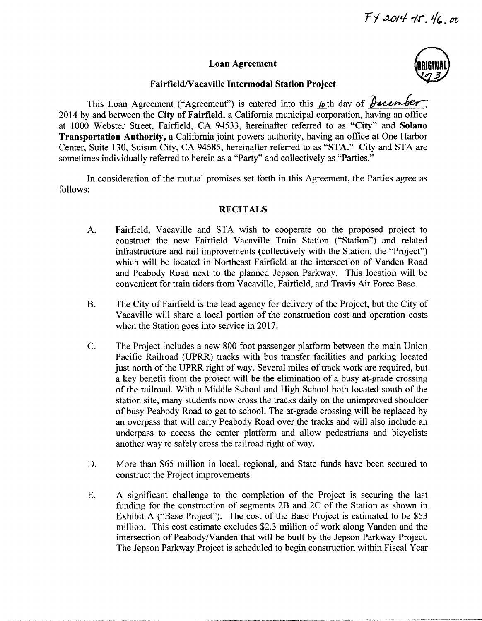#### Loan Agreement



#### Fairfield/Vacaville Intermodal Station Project

This Loan Agreement ("Agreement") is entered into this  $\mu$  th day of  $\partial$  *december*, <sup>2014</sup> by and between the City of Fairfield, <sup>a</sup> California municipal corporation, having an office at <sup>1000</sup> Webster Street, Fairfield, CA 94533, hereinafter referred to as "City" and Solano Transportation Authority, <sup>a</sup> California joint powers authority, having an office at One Harbor Center, Suite 130, Suisun City, CA 94585, hereinafter referred to as "STA." City and STA are sometimes individually referred to herein as a "Party" and collectively as "Parties."

In consideration of the mutual promises set forth in this Agreement, the Parties agree as follows:

#### **RECITALS**

- A. Fairfield, Vacaville and STA wish to cooperate on the proposed project to construct the new Fairfield Vacaville Train Station ("Station") and related infrastructure and rail improvements (collectively with the Station, the "Project") which will be located in Northeast Fairfield at the intersection of Vanden Road and Peabody Road next to the planned Jepson Parkway. This location will be convenient for train riders from Vacaville, Fairfield, and Travis Air Force Base.
- B. The City of Fairfield is the lead agency for delivery of the Project, but the City of Vacaville will share <sup>a</sup> local portion of the construction cost and operation costs when the Station goes into service in 2017.
- C. The Project includes <sup>a</sup> new <sup>800</sup> foot passenger platform between the main Union Pacific Railroad (UPRR) tracks with bus transfer facilities and parking located just north of the UPRR right of way. Several miles of track work are required, but <sup>a</sup> key benefit from the project will be the elimination of <sup>a</sup> busy at -grade crossing of the railroad. With <sup>a</sup> Middle School and High School both located south of the station site, many students now cross the tracks daily on the unimproved shoulder of busy Peabody Road to get to school. The at -grade crossing will be replaced by an overpass that will carry Peabody Road over the tracks and will also include an underpass to access the center platform and allow pedestrians and bicyclists another way to safely cross the railroad right of way.
- D. More than \$65 million in local, regional, and State funds have been secured to construct the Project improvements.
- E. A significant challenge to the completion of the Project is securing the last funding for the construction of segments 2B and 2C of the Station as shown in Exhibit A ("Base Project"). The cost of the Base Project is estimated to be \$53 million. This cost estimate excludes \$2.3 million of work along Vanden and the intersection of Peabody/Vanden that will be built by the Jepson Parkway Project. The Jepson Parkway Project is scheduled to begin construction within Fiscal Year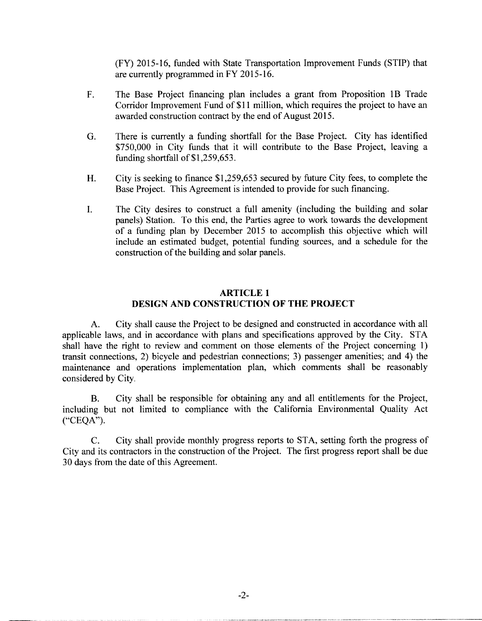FY) 2015 -16, funded with State Transportation Improvement Funds (STIP) that are currently programmed in FY 2015 -16.

- F. The Base Project financing plan includes <sup>a</sup> grant from Proposition 1B Trade Corridor Improvement Fund of \$11 million, which requires the project to have an awarded construction contract by the end of August 2015.
- G. There is currently <sup>a</sup> funding shortfall for the Base Project. City has identified 750,000 in City funds that it will contribute to the Base Project, leaving <sup>a</sup> funding shortfall of  $$1,259,653$ .
- H. City is seeking to finance \$1,259,653 secured by future City fees, to complete the Base Project. This Agreement is intended to provide for such financing.
- I. The City desires to construct <sup>a</sup> full amenity (including the building and solar panels) Station. To this end, the Parties agree to work towards the development of a funding plan by December <sup>2015</sup> to accomplish this objective which will include an estimated budget, potential funding sources, and <sup>a</sup> schedule for the construction of the building and solar panels.

## ARTICLE <sup>1</sup> DESIGN AND CONSTRUCTION OF THE PROJECT

A. City shall cause the Project to be designed and constructed in accordance with all applicable laws, and in accordance with plans and specifications approved by the City. STA shall have the right to review and comment on those elements of the Project concerning 1) transit connections, 2) bicycle and pedestrian connections; 3) passenger amenities; and 4) the maintenance and operations implementation plan, which comments shall be reasonably considered by City.

B. City shall be responsible for obtaining any and all entitlements for the Project, including but not limited to compliance with the California Environmental Quality Act  $(^{\circ}$ CEQA").

C. City shall provide monthly progress reports to STA, setting forth the progress of City and its contractors in the construction of the Project. The first progress report shall be due 30 days from the date of this Agreement.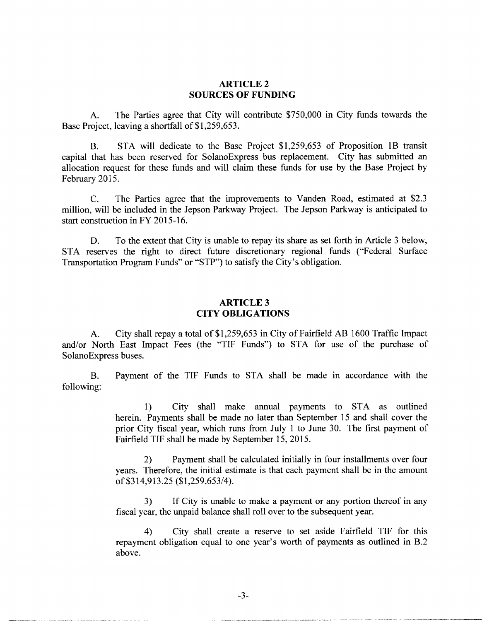### ARTICLE 2 SOURCES OF FUNDING

A. The Parties agree that City will contribute \$750,000 in City funds towards the Base Project, leaving a shortfall of \$1,259,653.

B. STA will dedicate to the Base Project \$1,259,653 of Proposition 1B transit capital that has been reserved for SolanoExpress bus replacement. City has submitted an allocation request for these funds and will claim these funds for use by the Base Project by February 2015.

C. The Parties agree that the improvements to Vanden Road, estimated at \$2.3 million, will be included in the Jepson Parkway Project. The Jepson Parkway is anticipated to start construction in FY 2015-16.

D. To the extent that City is unable to repay its share as set forth in Article <sup>3</sup> below, STA reserves the right to direct future discretionary regional funds ("Federal Surface Transportation Program Funds" or "STP") to satisfy the City's obligation.

## ARTICLE 3 CITY OBLIGATIONS

A. City shall repay a total of \$1,259,653 in City of Fairfield AB 1600 Traffic Impact and/or North East Impact Fees (the "TIF Funds") to STA for use of the purchase of SolanoExpress buses.

B. Payment of the TIF Funds to STA shall be made in accordance with the following:

> 1) City shall make annual payments to STA as outlined herein. Payments shall be made no later than September <sup>15</sup> and shall cover the prior City fiscal year, which runs from July <sup>1</sup> to June 30. The first payment of Fairfield TIF shall be made by September 15, 2015.

> 2) Payment shall be calculated initially in four installments over four years. Therefore, the initial estimate is that each payment shall be in the amount 2) Payment shall be calculary vears. Therefore, the initial estimate is of \$314,913.25 (\$1,259,653/4).

> 3) If City is unable to make <sup>a</sup> payment or any portion thereof in any fiscal year, the unpaid balance shall roll over to the subsequent year.

> 4) City shall create <sup>a</sup> reserve to set aside Fairfield TIF for this 4) City shall create a reserve to set aside Fairfield TIF for this repayment obligation equal to one year's worth of payments as outlined in B.2 above.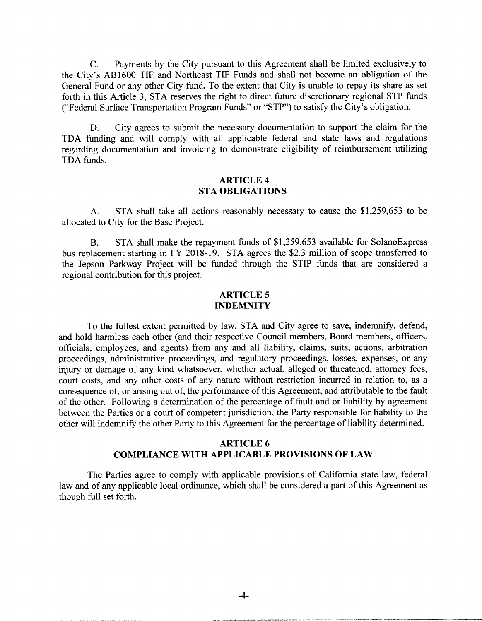C. Payments by the City pursuant to this Agreement shall be limited exclusively to C. Payments by the City pursuant to this Agreement shall be limited exclusively to<br>the City's AB1600 TIF and Northeast TIF Funds and shall not become an obligation of the General Fund or any other City fund. To the extent that City is unable to repay its share as set forth in this Article 3, STA reserves the right to direct future discretionary regional STP funds ("Federal Surface Transportation Program Funds" or "STP") to satisfy the City's obligation.

D. City agrees to submit the necessary documentation to support the claim for the TDA funding and will comply with all applicable federal and state laws and regulations regarding documentation and invoicing to demonstrate eligibility of reimbursement utilizing TDA funds.

#### ARTICLE 4 STA OBLIGATIONS

A. STA shall take all actions reasonably necessary to cause the  $$1,259,653$  to be allocated to City for the Base Project.

B. STA shall make the repayment funds of \$1,259,653 available for SolanoExpress bus replacement starting in FY 2018 -19. STA agrees the \$2.3 million of scope transferred to the Jepson Parkway Project will be funded through the STIP funds that are considered <sup>a</sup> regional contribution for this project.

### ARTICLE 5 INDEMNITY

To the fullest extent permitted by law, STA and City agree to save, indemnify, defend, and hold harmless each other (and their respective Council members, Board members, officers, officials, employees, and agents) from any and all liability, claims, suits, actions, arbitration proceedings, administrative proceedings, and regulatory proceedings, losses, expenses, or any injury or damage of any kind whatsoever, whether actual, alleged or threatened, attorney fees, court costs, and any other costs of any nature without restriction incurred in relation to, as <sup>a</sup> consequence of, or arising out of, the performance of this Agreement, and attributable to the fault of the other. Following <sup>a</sup> determination of the percentage of fault and or liability by agreement between the Parties or <sup>a</sup> court of competent jurisdiction, the Party responsible for liability to the other will indemnify the other Party to this Agreement for the percentage of liability determined.

## ARTICLE 6 COMPLIANCE WITH APPLICABLE PROVISIONS OF LAW

The Parties agree to comply with applicable provisions of California state law, federal law and of any applicable local ordinance, which shall be considered <sup>a</sup> part of this Agreement as though full set forth.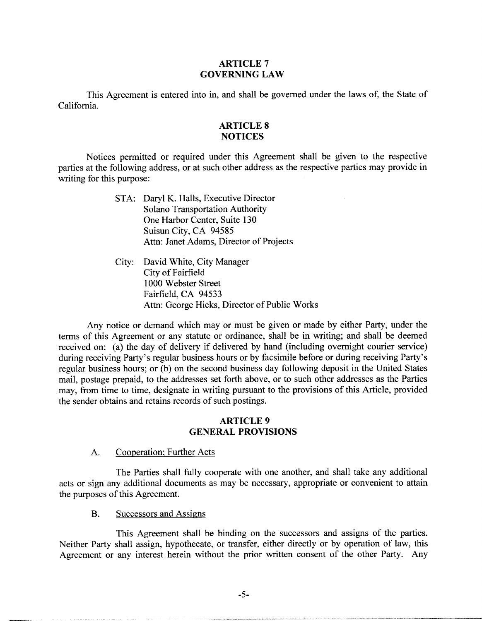### ARTICLE 7 GOVERNING LAW

This Agreement is entered into in, and shall be governed under the laws of, the State of California.

## ARTICLE 8 **NOTICES**

Notices permitted or required under this Agreement shall be given to the respective parties at the following address, or at such other address as the respective parties may provide in writing for this purpose:

- STA: Daryl K. Halls, Executive Director Solano Transportation Authority One Harbor Center, Suite 130 Suisun City, CA 94585 Attn: Janet Adams, Director of Projects
- City: David White, City Manager City of Fairfield 1000 Webster Street Fairfield, CA 94533 Attn: George Hicks, Director of Public Works

Any notice or demand which may or must be given or made by either Party, under the terms of this Agreement or any statute or ordinance, shall be in writing; and shall be deemed received on: (a) the day of delivery if delivered by hand (including overnight courier service)<br>during receiving Party's regular business hours or by facsimile before or during receiving Party's<br>during receiving Party's re during receiving Party's regular business hours or by facsimile before or during receiving Party's regular business hours; or (b) on the second business day following deposit in the United States mail, postage prepaid, to the addresses set forth above, or to such other addresses as the Parties may, from time to time, designate in writing pursuant to the provisions of this Article, provided the sender obtains and retains records of such postings.

### ARTICLE 9 GENERAL PROVISIONS

A. Cooperation; Further Acts

The Parties shall fully cooperate with one another, and shall take any additional acts or sign any additional documents as may be necessary, appropriate or convenient to attain the purposes of this Agreement.

B. Successors and Assigns

This Agreement shall be binding on the successors and assigns of the parties. Neither Party shall assign, hypothecate, or transfer, either directly or by operation of law, this Agreement or any interest herein without the prior written consent of the other Party. Any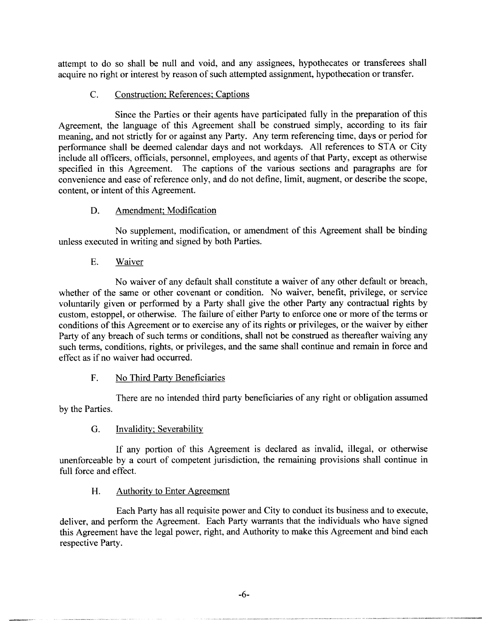attempt to do so shall be null and void, and any assignees, hypothecates or transferees shall acquire no right or interest by reason of such attempted assignment, hypothecation or transfer.

## C. Construction; References; Captions

Since the Parties or their agents have participated fully in the preparation of this Agreement, the language of this Agreement shall be construed simply, according to its fair meaning, and not strictly for or against any Party. Any term referencing time, days or period for performance shall be deemed calendar days and not workdays. All references to STA or City include all officers, officials, personnel, employees, and agents of that Party, except as otherwise specified in this Agreement. The captions of the various sections and paragraphs are for convenience and ease of reference only, and do not define, limit, augment, or describe the scope, content, or intent of this Agreement.

# D. Amendment; Modification

No supplement, modification, or amendment of this Agreement shall be binding unless executed in writing and signed by both Parties.

## E. Waiver

No waiver of any default shall constitute <sup>a</sup> waiver of any other default or breach, whether of the same or other covenant or condition. No waiver, benefit, privilege, or service voluntarily given or performed by <sup>a</sup> Party shall give the other Party any contractual rights by custom, estoppel, or otherwise. The failure of either Party to enforce one or more of the terms or conditions of this Agreement or to exercise any of its rights or privileges, or the waiver by either Party of any breach of such terms or conditions, shall not be construed as thereafter waiving any such terms, conditions, rights, or privileges, and the same shall continue and remain in force and effect as if no waiver had occurred.

# F. No Third Party Beneficiaries

There are no intended third party beneficiaries of any right or obligation assumed by the Parties.

# G. Invalidity; Severability

If any portion of this Agreement is declared as invalid, illegal, or otherwise unenforceable by <sup>a</sup> court of competent jurisdiction, the remaining provisions shall continue in full force and effect.

## H. Authority to Enter Agreement

Each Party has all requisite power and City to conduct its business and to execute, deliver, and perform the Agreement. Each Party warrants that the individuals who have signed this Agreement have the legal power, right, and Authority to make this Agreement and bind each respective Party.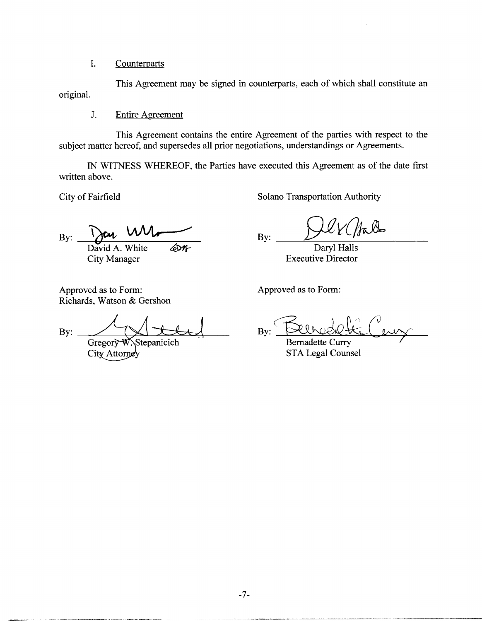I. Counterparts

This Agreement may be signed in counterparts, each of which shall constitute an original.

J. Entire Agreement

This Agreement contains the entire Agreement of the parties with respect to the subject matter hereof, and supersedes all prior negotiations, understandings or Agreements.

IN WITNESS WHEREOF, the Parties have executed this Agreement as of the date first written above.

City of Fairfield Solano Transportation Authority

B B  $y:$  You vue David A. White 40th By: By: David A. White 40th Daryl Halls<br>City Manager Executive Director

falb

**Executive Director** 

Approved as to Form: Approved as to Form: Richards, Watson & Gershon

Richards, Watson & Gershon<br>By: 31kg<br>By: 31kg<br>By: 31kg<br>Bernadette Curr

Gregory W. Stepanicich Bernadette Curry<br>City Attorney STA Legal Couns

STA Legal Counsel